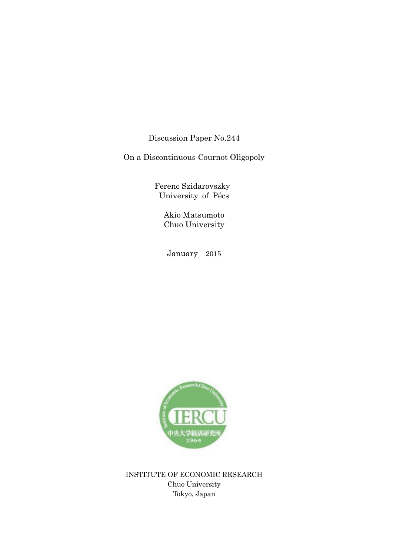Discussion Paper No.244

On a Discontinuous Cournot Oligopoly

 Ferenc Szidarovszky University of Pécs

> Akio Matsumoto Chuo University

January 2015



INSTITUTE OF ECONOMIC RESEARCH Chuo University Tokyo, Japan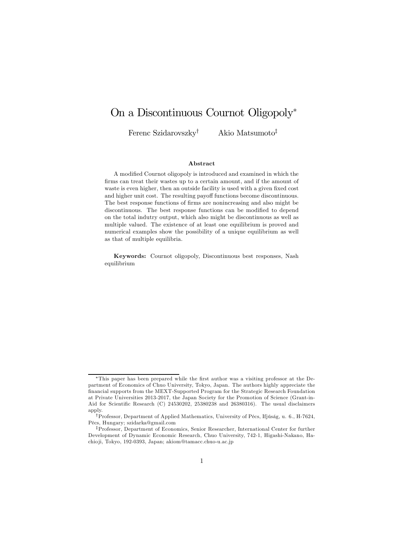# On a Discontinuous Cournot Oligopoly<sup>∗</sup>

Ferenc Szidarovszky† Akio Matsumoto‡

#### Abstract

A modified Cournot oligopoly is introduced and examined in which the firms can treat their wastes up to a certain amount, and if the amount of waste is even higher, then an outside facility is used with a given fixed cost and higher unit cost. The resulting payoff functions become discontinuous. The best response functions of firms are nonincreasing and also might be discontinuous. The best response functions can be modified to depend on the total indutry output, which also might be discontinuous as well as multiple valued. The existence of at least one equilibrium is proved and numerical examples show the possibility of a unique equilibrium as well as that of multiple equilibria.

Keywords: Cournot oligopoly, Discontinuous best responses, Nash equilibrium

<sup>∗</sup>This paper has been prepared while the first author was a visiting professor at the Department of Economics of Chuo University, Tokyo, Japan. The authors highly appreciate the financial supports from the MEXT-Supported Program for the Strategic Research Foundation at Private Universities 2013-2017, the Japan Society for the Promotion of Science (Grant-in-Aid for Scientific Research (C) 24530202, 25380238 and 26380316). The usual disclaimers apply.

<sup>†</sup>Professor, Department of Applied Mathematics, University of Pécs, Ifjúság, u. 6., H-7624, Pécs, Hungary; szidarka@gmail.com

<sup>‡</sup>Professor, Department of Economics, Senior Researcher, International Center for further Development of Dynamic Economic Research, Chuo University, 742-1, Higashi-Nakano, Hachio ji, Tokyo, 192-0393, Japan; akiom@tamacc.chuo-u.ac.jp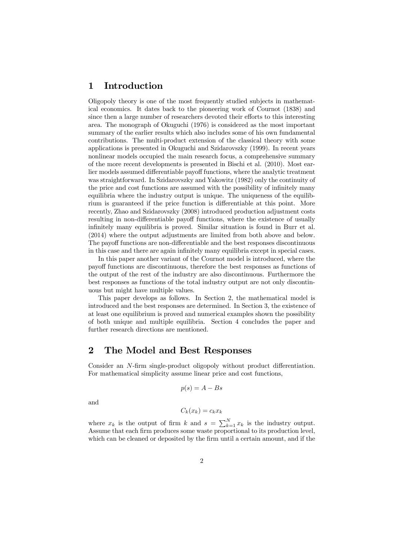### 1 Introduction

Oligopoly theory is one of the most frequently studied subjects in mathematical economics. It dates back to the pioneering work of Cournot (1838) and since then a large number of researchers devoted their efforts to this interesting area. The monograph of Okuguchi (1976) is considered as the most important summary of the earlier results which also includes some of his own fundamental contributions. The multi-product extension of the classical theory with some applications is presented in Okuguchi and Szidarovszky (1999). In recent years nonlinear models occupied the main research focus, a comprehensive summary of the more recent developments is presented in Bischi et al. (2010). Most earlier models assumed differentiable payoff functions, where the analytic treatment was straightforward. In Szidarovszky and Yakowitz (1982) only the continuity of the price and cost functions are assumed with the possibility of infinitely many equilibria where the industry output is unique. The uniqueness of the equilibrium is guaranteed if the price function is differentiable at this point. More recently, Zhao and Szidarovszky (2008) introduced production adjustment costs resulting in non-differentiable payoff functions, where the existence of usually infinitely many equilibria is proved. Similar situation is found in Burr et al. (2014) where the output adjustments are limited from both above and below. The payoff functions are non-differentiable and the best responses discontinuous in this case and there are again infinitely many equilibria except in special cases.

In this paper another variant of the Cournot model is introduced, where the payoff functions are discontinuous, therefore the best responses as functions of the output of the rest of the industry are also discontinuous. Furthermore the best responses as functions of the total industry output are not only discontinuous but might have multiple values.

This paper develops as follows. In Section 2, the mathematical model is introduced and the best responses are determined. In Section 3, the existence of at least one equilibrium is proved and numerical examples shown the possibility of both unique and multiple equilibria. Section 4 concludes the paper and further research directions are mentioned.

#### 2 The Model and Best Responses

Consider an N-firm single-product oligopoly without product differentiation. For mathematical simplicity assume linear price and cost functions,

$$
p(s) = A - Bs
$$

and

$$
C_k(x_k) = c_k x_k
$$

where  $x_k$  is the output of firm k and  $s = \sum_{k=1}^{N} x_k$  is the industry output. Assume that each firm produces some waste proportional to its production level, which can be cleaned or deposited by the firm until a certain amount, and if the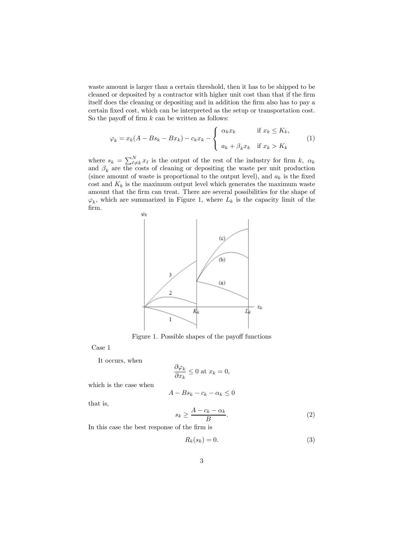waste amount is larger than a certain threshold, then it has to be shipped to be cleaned or deposited by a contractor with higher unit cost than that if the firm itself does the cleaning or depositing and in addition the firm also has to pay a certain fixed cost, which can be interpreted as the setup or transportation cost. So the payoff of firm  $k$  can be written as follows:

$$
\varphi_k = x_k(A - Bs_k - Bx_k) - c_k x_k - \begin{cases} \alpha_k x_k & \text{if } x_k \le K_k, \\ a_k + \beta_k x_k & \text{if } x_k > K_k \end{cases}
$$
 (1)

where  $s_k = \sum_{\ell \neq k}^{N} x_{\ell}$  is the output of the rest of the industry for firm k,  $\alpha_k$ and  $\beta_k$  are the costs of cleaning or depositing the waste per unit production (since amount of waste is proportional to the output level), and  $a_k$  is the fixed cost and  $K_k$  is the maximum output level which generates the maximum waste amount that the firm can treat. There are several possibilities for the shape of  $\varphi_k$ , which are summarized in Figure 1, where  $L_k$  is the capacity limit of the firm.



Figure 1. Possible shapes of the payoff functions

Case 1

It occurs, when

$$
\frac{\partial \varphi_k}{\partial x_k} \le 0 \text{ at } x_k = 0,
$$

which is the case when

$$
A - Bs_k - c_k - \alpha_k \le 0
$$

that is,

$$
s_k \ge \frac{A - c_k - \alpha_k}{B}.\tag{2}
$$

In this case the best response of the firm is

$$
R_k(s_k) = 0.\t\t(3)
$$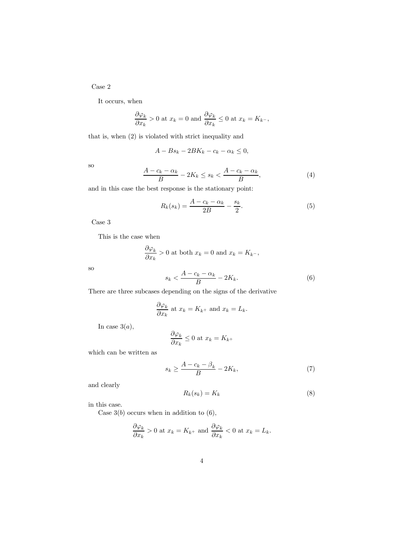Case 2

It occurs, when

$$
\frac{\partial \varphi_k}{\partial x_k} > 0
$$
 at  $x_k = 0$  and  $\frac{\partial \varphi_k}{\partial x_k} \le 0$  at  $x_k = K_{k^-}$ ,

that is, when (2) is violated with strict inequality and

$$
A - Bs_k - 2BK_k - c_k - \alpha_k \le 0,
$$

so

$$
\frac{A - c_k - \alpha_k}{B} - 2K_k \le s_k < \frac{A - c_k - \alpha_k}{B},\tag{4}
$$

and in this case the best response is the stationary point:

$$
R_k(s_k) = \frac{A - c_k - \alpha_k}{2B} - \frac{s_k}{2}.\tag{5}
$$

Case 3

This is the case when

$$
\frac{\partial \varphi_k}{\partial x_k} > 0
$$
 at both  $x_k = 0$  and  $x_k = K_{k^-}$ ,

so

$$
s_k < \frac{A - c_k - \alpha_k}{B} - 2K_k. \tag{6}
$$

There are three subcases depending on the signs of the derivative

$$
\frac{\partial \varphi_k}{\partial x_k} \text{ at } x_k = K_{k^+} \text{ and } x_k = L_k.
$$

In case  $3(a)$ ,

$$
\frac{\partial \varphi_k}{\partial x_k} \le 0 \text{ at } x_k = K_{k^+}
$$

which can be written as

$$
s_k \ge \frac{A - c_k - \beta_k}{B} - 2K_k,\tag{7}
$$

and clearly

$$
R_k(s_k) = K_k \tag{8}
$$

in this case.

Case  $3(b)$  occurs when in addition to  $(6)$ ,

$$
\frac{\partial \varphi_k}{\partial x_k} > 0
$$
 at  $x_k = K_{k+}$  and  $\frac{\partial \varphi_k}{\partial x_k} < 0$  at  $x_k = L_k$ .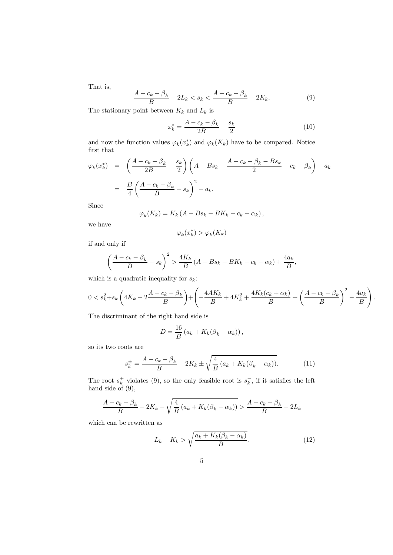That is,

$$
\frac{A - c_k - \beta_k}{B} - 2L_k < s_k < \frac{A - c_k - \beta_k}{B} - 2K_k. \tag{9}
$$

The stationary point between  $K_k$  and  $L_k$  is

$$
x_k^* = \frac{A - c_k - \beta_k}{2B} - \frac{s_k}{2}
$$
 (10)

and now the function values  $\varphi_k(x_k^*)$  and  $\varphi_k(K_k)$  have to be compared. Notice first that

$$
\varphi_k(x_k^*) = \left(\frac{A - c_k - \beta_k}{2B} - \frac{s_k}{2}\right) \left(A - Bs_k - \frac{A - c_k - \beta_k - Bs_k}{2} - c_k - \beta_k\right) - a_k
$$

$$
= \frac{B}{4} \left(\frac{A - c_k - \beta_k}{B} - s_k\right)^2 - a_k.
$$

Since

$$
\varphi_k(K_k) = K_k (A - Bs_k - BK_k - c_k - \alpha_k),
$$

we have

$$
\varphi_k(x_k^*) > \varphi_k(K_k)
$$

if and only if

$$
\left(\frac{A-c_k-\beta_k}{B}-s_k\right)^2 > \frac{4K_k}{B}\left(A-Bs_k-BK_k-c_k-\alpha_k\right) + \frac{4a_k}{B},
$$

which is a quadratic inequality for  $s_k$ :

$$
0 < s_k^2 + s_k \left( 4K_k - 2\frac{A - c_k - \beta_k}{B} \right) + \left( -\frac{4AK_k}{B} + 4K_k^2 + \frac{4K_k(c_k + \alpha_k)}{B} + \left( \frac{A - c_k - \beta_k}{B} \right)^2 - \frac{4a_k}{B} \right).
$$

The discriminant of the right hand side is

$$
D = \frac{16}{B} (a_k + K_k(\beta_k - \alpha_k)),
$$

so its two roots are

$$
s_k^{\pm} = \frac{A - c_k - \beta_k}{B} - 2K_k \pm \sqrt{\frac{4}{B} (a_k + K_k(\beta_k - \alpha_k))}.
$$
 (11)

The root  $s_k^+$  violates (9), so the only feasible root is  $s_k^-$ , if it satisfies the left hand side of (9),

$$
\frac{A-c_k-\beta_k}{B} - 2K_k - \sqrt{\frac{4}{B}(a_k + K_k(\beta_k - \alpha_k))} > \frac{A-c_k-\beta_k}{B} - 2L_k
$$

which can be rewritten as

$$
L_k - K_k > \sqrt{\frac{a_k + K_k(\beta_k - \alpha_k)}{B}}.\tag{12}
$$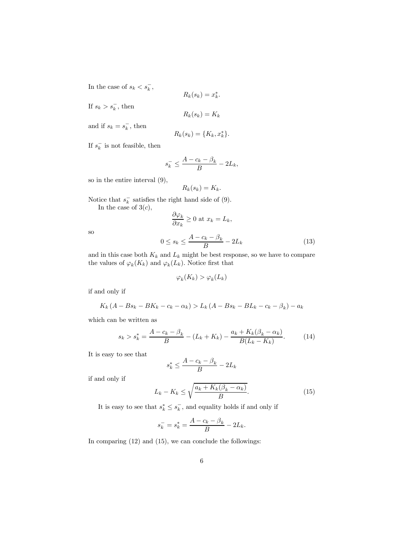In the case of  $s_k < s_k^-$ ,

$$
R_k(s_k) = x_k^*.
$$

If  $s_k > s_k^-$ , then

$$
R_k(s_k) = K_k
$$

and if  $s_k = s_k^-$ , then

$$
R_k(s_k) = \{K_k, x_k^*\}.
$$

If  $s_k^-$  is not feasible, then

$$
s_k^- \le \frac{A - c_k - \beta_k}{B} - 2L_k,
$$

so in the entire interval (9),

$$
R_k(s_k) = K_k.
$$

Notice that  $s_k^-$  satisfies the right hand side of (9).

In the case of  $3(c)$ ,

$$
\frac{\partial \varphi_k}{\partial x_k} \ge 0 \text{ at } x_k = L_k,
$$

so

$$
0 \le s_k \le \frac{A - c_k - \beta_k}{B} - 2L_k \tag{13}
$$

and in this case both  $K_k$  and  $L_k$  might be best response, so we have to compare the values of  $\varphi_k(K_k)$  and  $\varphi_k(L_k)$ . Notice first that

$$
\varphi_k(K_k) > \varphi_k(L_k)
$$

if and only if

$$
K_k (A - Bs_k - BK_k - c_k - \alpha_k) > L_k (A - Bs_k - BL_k - c_k - \beta_k) - a_k
$$

which can be written as

$$
s_k > s_k^* = \frac{A - c_k - \beta_k}{B} - (L_k + K_k) - \frac{a_k + K_k(\beta_k - \alpha_k)}{B(L_k - K_k)}.
$$
 (14)

It is easy to see that

$$
s_k^* \le \frac{A - c_k - \beta_k}{B} - 2L_k
$$

if and only if

$$
L_k - K_k \le \sqrt{\frac{a_k + K_k(\beta_k - \alpha_k)}{B}}.\tag{15}
$$

It is easy to see that  $s_k^* \leq s_k^-$ , and equality holds if and only if

$$
s_k^- = s_k^* = \frac{A - c_k - \beta_k}{B} - 2L_k.
$$

In comparing (12) and (15), we can conclude the followings: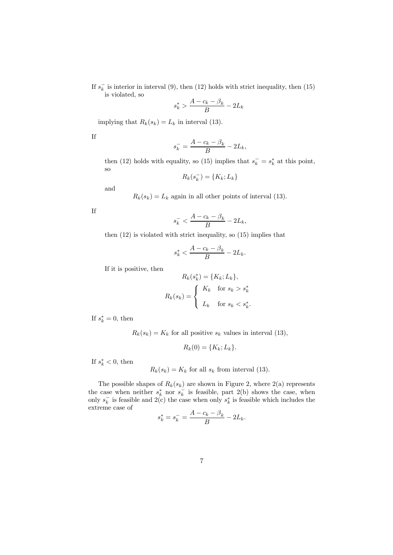If  $s_k^-$  is interior in interval (9), then (12) holds with strict inequality, then (15) is violated, so

$$
s_k^* > \frac{A - c_k - \beta_k}{B} - 2L_k
$$

implying that  $R_k(s_k) = L_k$  in interval (13).

If

$$
s_k^- = \frac{A - c_k - \beta_k}{B} - 2L_k,
$$

then (12) holds with equality, so (15) implies that  $s_k^- = s_k^*$  at this point, so

$$
R_k(s_k^-) = \{K_k; L_k\}
$$

and

 $R_k(s_k) = L_k$  again in all other points of interval (13).

If

$$
s_k^- < \frac{A - c_k - \beta_k}{B} - 2L_k,
$$

then (12) is violated with strict inequality, so (15) implies that

$$
s_k^* < \frac{A - c_k - \beta_k}{B} - 2L_k.
$$

If it is positive, then

$$
R_k(s_k^*) = \{K_k; L_k\},
$$
  

$$
R_k(s_k) = \begin{cases} K_k & \text{for } s_k > s_k^* \\ L_k & \text{for } s_k < s_k^* .\end{cases}
$$

If  $s_k^* = 0$ , then

 $R_k(s_k) = K_k$  for all positive  $s_k$  values in interval (13),

 $R_k(0) = \{K_k; L_k\}.$ 

If  $s_k^* < 0$ , then

 $R_k(s_k) = K_k$  for all  $s_k$  from interval (13).

The possible shapes of  $R_k(s_k)$  are shown in Figure 2, where 2(a) represents the case when neither  $s_k^*$  nor  $s_k^-$  is feasible, part 2(b) shows the case, when only  $s_k^-$  is feasible and 2(c) the case when only  $s_k^*$  is feasible which includes the extreme case of

$$
s_k^* = s_k^- = \frac{A - c_k - \beta_k}{B} - 2L_k.
$$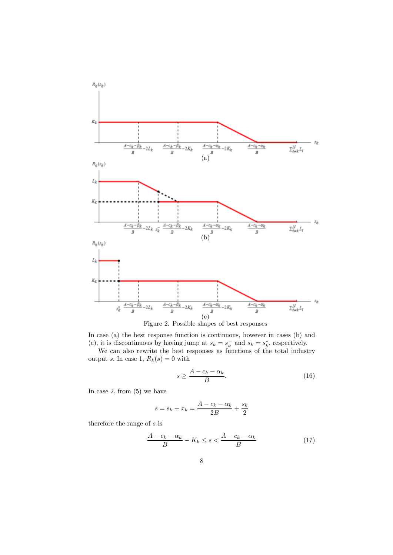

Figure 2. Possible shapes of best responses

In case (a) the best response function is continuous, however in cases (b) and (c), it is discontinuous by having jump at  $s_k = s_k^-$  and  $s_k = s_k^*$ , respectively.

We can also rewrite the best responses as functions of the total industry output s. In case 1,  $\bar{R}_k(s) = 0$  with

$$
s \ge \frac{A - c_k - \alpha_k}{B}.\tag{16}
$$

In case 2, from (5) we have

$$
s = s_k + x_k = \frac{A - c_k - \alpha_k}{2B} + \frac{s_k}{2}
$$

therefore the range of  $s$  is

$$
\frac{A - c_k - \alpha_k}{B} - K_k \le s < \frac{A - c_k - \alpha_k}{B} \tag{17}
$$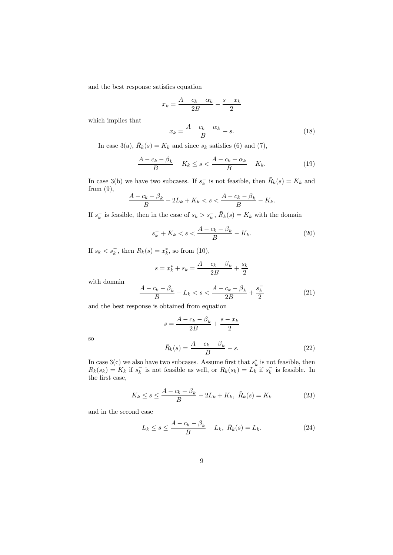and the best response satisfies equation

$$
x_k = \frac{A - c_k - \alpha_k}{2B} - \frac{s - x_k}{2}
$$

which implies that

$$
x_k = \frac{A - c_k - \alpha_k}{B} - s. \tag{18}
$$

In case 3(a),  $\bar{R}_k(s) = K_k$  and since  $s_k$  satisfies (6) and (7),

$$
\frac{A - c_k - \beta_k}{B} - K_k \le s < \frac{A - c_k - \alpha_k}{B} - K_k. \tag{19}
$$

In case 3(b) we have two subcases. If  $s_k^-$  is not feasible, then  $\bar{R}_k(s) = K_k$  and from (9),

$$
\frac{A - c_k - \beta_k}{B} - 2L_k + K_k < s < \frac{A - c_k - \beta_k}{B} - K_k.
$$

If  $s_k^-$  is feasible, then in the case of  $s_k > s_k^-$ ,  $\bar{R}_k(s) = K_k$  with the domain

$$
s_k^- + K_k < s < \frac{A - c_k - \beta_k}{B} - K_k. \tag{20}
$$

If  $s_k < s_k^-$ , then  $\bar{R}_k(s) = x_k^*$ , so from (10),

$$
s = x_k^* + s_k = \frac{A - c_k - \beta_k}{2B} + \frac{s_k}{2}
$$

with domain

so

$$
\frac{A - c_k - \beta_k}{B} - L_k < s < \frac{A - c_k - \beta_k}{2B} + \frac{s_k^-}{2} \tag{21}
$$

and the best response is obtained from equation

$$
s = \frac{A - c_k - \beta_k}{2B} + \frac{s - x_k}{2}
$$

$$
\bar{R}_k(s) = \frac{A - c_k - \beta_k}{B} - s.
$$
(22)

In case 3(c) we also have two subcases. Assume first that  $s_k^*$  is not feasible, then  $R_k(s_k) = K_k$  if  $s_k^-$  is not feasible as well, or  $R_k(s_k) = L_k$  if  $s_k^-$  is feasible. In the first case,

$$
K_k \le s \le \frac{A - c_k - \beta_k}{B} - 2L_k + K_k, \ \bar{R}_k(s) = K_k \tag{23}
$$

and in the second case

$$
L_k \le s \le \frac{A - c_k - \beta_k}{B} - L_k, \ \bar{R}_k(s) = L_k. \tag{24}
$$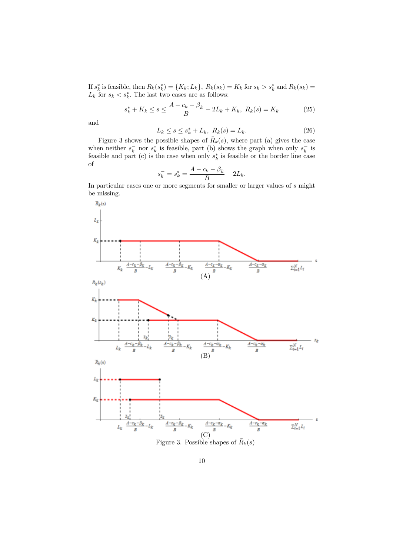If  $s_k^*$  is feasible, then  $\bar{R}_k(s_k^*) = \{K_k; L_k\}$ ,  $R_k(s_k) = K_k$  for  $s_k > s_k^*$  and  $R_k(s_k) =$  $L_k$  for  $s_k < s_k^*$ . The last two cases are as follows:

$$
s_k^* + K_k \le s \le \frac{A - c_k - \beta_k}{B} - 2L_k + K_k, \ \bar{R}_k(s) = K_k \tag{25}
$$

and

$$
L_k \le s \le s_k^* + L_k, \ \bar{R}_k(s) = L_k. \tag{26}
$$

Figure 3 shows the possible shapes of  $\bar{R}_k(s)$ , where part (a) gives the case when neither  $s_k^-$  nor  $s_k^*$  is feasible, part (b) shows the graph when only  $s_k^-$  is feasible and part (c) is the case when only  $s_k^*$  is feasible or the border line case of

$$
s_k^- = s_k^* = \frac{A - c_k - \beta_k}{B} - 2L_k.
$$

In particular cases one or more segments for smaller or larger values of  $s$  might be missing.

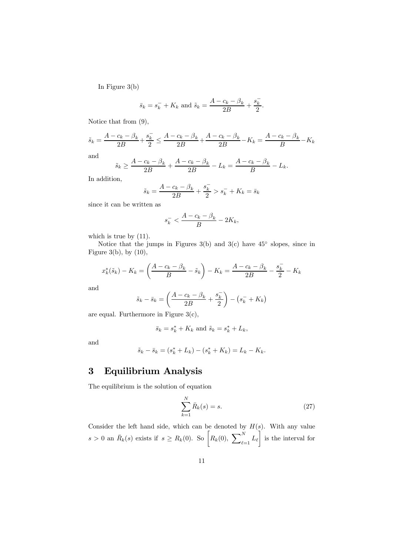In Figure 3(b)

$$
\bar{s}_k = s_k^- + K_k
$$
 and  $\tilde{s}_k = \frac{A - c_k - \beta_k}{2B} + \frac{s_k^-}{2}$ .

Notice that from (9),

$$
\tilde{s}_k=\frac{A-c_k-\beta_k}{2B}+\frac{s_k^-}{2}\leq \frac{A-c_k-\beta_k}{2B}+\frac{A-c_k-\beta_k}{2B}-K_k=\frac{A-c_k-\beta_k}{B}-K_k
$$

and

$$
\tilde{s}_k \ge \frac{A - c_k - \beta_k}{2B} + \frac{A - c_k - \beta_k}{2B} - L_k = \frac{A - c_k - \beta_k}{B} - L_k.
$$

In addition,

$$
\tilde{s}_k = \frac{A - c_k - \beta_k}{2B} + \frac{s_k^-}{2} > s_k^- + K_k = \bar{s}_k
$$

since it can be written as

$$
s_k^- < \frac{A - c_k - \beta_k}{B} - 2K_k,
$$

which is true by  $(11)$ .

Notice that the jumps in Figures  $3(b)$  and  $3(c)$  have  $45^{\circ}$  slopes, since in Figure 3(b), by  $(10)$ ,

$$
x_k^*(\tilde{s}_k) - K_k = \left(\frac{A - c_k - \beta_k}{B} - \tilde{s}_k\right) - K_k = \frac{A - c_k - \beta_k}{2B} - \frac{s_k^-}{2} - K_k
$$

and

$$
\tilde{s}_k - \bar{s}_k = \left(\frac{A - c_k - \beta_k}{2B} + \frac{s_k^-}{2}\right) - \left(s_k^- + K_k\right)
$$

are equal. Furthermore in Figure 3(c),

$$
\bar{s}_k = s_k^* + K_k \text{ and } \tilde{s}_k = s_k^* + L_k,
$$

and

$$
\tilde{s}_k - \bar{s}_k = (s_k^* + L_k) - (s_k^* + K_k) = L_k - K_k.
$$

## 3 Equilibrium Analysis

The equilibrium is the solution of equation

$$
\sum_{k=1}^{N} \bar{R}_k(s) = s.
$$
 (27)

Consider the left hand side, which can be denoted by  $H(s)$ . With any value  $s > 0$  an  $\bar{R}_k(s)$  exists if  $s \geq R_k(0)$ . So  $\left[ R_k(0), \sum_{k=1}^N \frac{1}{k!} \right]$  $\int_{\ell=1}L_{\ell}$ T is the interval for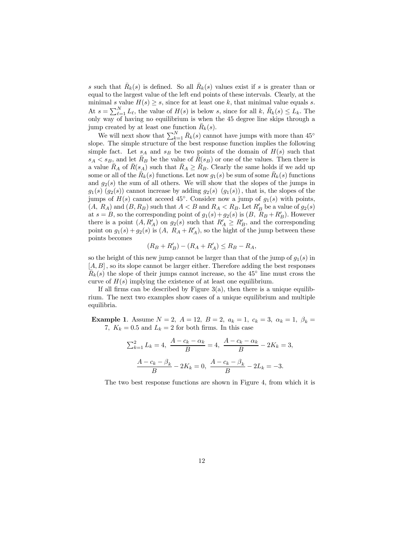s such that  $\bar{R}_k(s)$  is defined. So all  $\bar{R}_k(s)$  values exist if s is greater than or equal to the largest value of the left end points of these intervals. Clearly, at the minimal s value  $H(s) \geq s$ , since for at least one k, that minimal value equals s. At  $s = \sum_{\ell=1}^{N} L_{\ell}$ , the value of  $H(s)$  is below s, since for all k,  $\bar{R}_k(s) \le L_k$ . The only way of having no equilibrium is when the 45 degree line skips through a jump created by at least one function  $\bar{R}_k(s)$ .

We will next show that  $\sum_{k=1}^{N} \bar{R}_k(s)$  cannot have jumps with more than 45° slope. The simple structure of the best response function implies the following simple fact. Let  $s_A$  and  $s_B$  be two points of the domain of  $H(s)$  such that  $s_A < s_B$ , and let  $\bar{R}_B$  be the value of  $\bar{R}(s_B)$  or one of the values. Then there is a value  $\bar{R}_A$  of  $\bar{R}(s_A)$  such that  $\bar{R}_A \geq \bar{R}_B$ . Clearly the same holds if we add up some or all of the  $\overline{R}_k(s)$  functions. Let now  $g_1(s)$  be sum of some  $\overline{R}_k(s)$  functions and  $g_2(s)$  the sum of all others. We will show that the slopes of the jumps in  $g_1(s)$  ( $g_2(s)$ ) cannot increase by adding  $g_2(s)$  ( $g_1(s)$ ), that is, the slopes of the jumps of  $H(s)$  cannot acceed 45°. Consider now a jump of  $g_1(s)$  with points,  $(A, R_A)$  and  $(B, R_B)$  such that  $A < B$  and  $R_A < R_B$ . Let  $R'_B$  be a value of  $g_2(s)$ at  $s = B$ , so the corresponding point of  $g_1(s) + g_2(s)$  is  $(B, R_B + R'_B)$ . However there is a point  $(A, R'_A)$  on  $g_2(s)$  such that  $R'_A \geq R'_B$ , and the corresponding point on  $g_1(s) + g_2(s)$  is  $(A, R_A + R'_A)$ , so the hight of the jump between these points becomes

$$
(R_B + R'_B) - (R_A + R'_A) \le R_B - R_A,
$$

so the height of this new jump cannot be larger than that of the jump of  $g_1(s)$  in  $[A, B]$ , so its slope cannot be larger either. Therefore adding the best responses  $\overline{R}_k(s)$  the slope of their jumps cannot increase, so the 45° line must cross the curve of  $H(s)$  implying the existence of at least one equilibrium.

If all firms can be described by Figure  $3(a)$ , then there is a unique equilibrium. The next two examples show cases of a unique equilibrium and multiple equilibria.

**Example 1.** Assume  $N = 2$ ,  $A = 12$ ,  $B = 2$ ,  $a_k = 1$ ,  $c_k = 3$ ,  $\alpha_k = 1$ ,  $\beta_k =$ 7,  $K_k = 0.5$  and  $L_k = 2$  for both firms. In this case

$$
\sum_{k=1}^{2} L_k = 4, \ \frac{A - c_k - \alpha_k}{B} = 4, \ \frac{A - c_k - \alpha_k}{B} - 2K_k = 3,
$$

$$
\frac{A - c_k - \beta_k}{B} - 2K_k = 0, \ \frac{A - c_k - \beta_k}{B} - 2L_k = -3.
$$

The two best response functions are shown in Figure 4, from which it is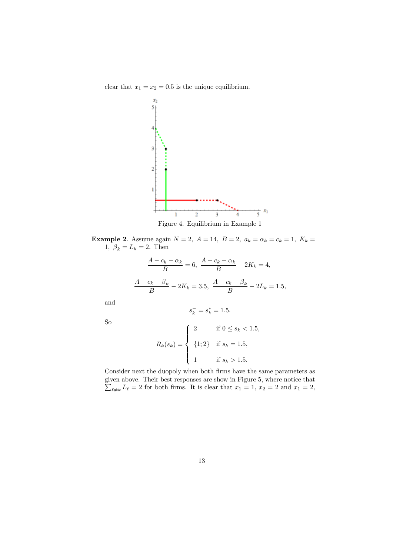clear that  $x_1 = x_2 = 0.5$  is the unique equilibrium.



Figure 4. Equilibrium in Example 1

**Example 2.** Assume again  $N = 2$ ,  $A = 14$ ,  $B = 2$ ,  $a_k = \alpha_k = c_k = 1$ ,  $K_k =$ 1,  $\beta_k = L_k = 2$ . Then

$$
\frac{A - c_k - \alpha_k}{B} = 6, \ \frac{A - c_k - \alpha_k}{B} - 2K_k = 4,
$$
  

$$
\frac{A - c_k - \beta_k}{B} - 2K_k = 3.5, \ \frac{A - c_k - \beta_k}{B} - 2L_k = 1.5,
$$

and

So

$$
s_k^- = s_k^* = 1.5.
$$

$$
R_k(s_k) = \begin{cases} 2 & \text{if } 0 \le s_k < 1.5, \\ \{1; 2\} & \text{if } s_k = 1.5, \\ 1 & \text{if } s_k > 1.5. \end{cases}
$$

Consider next the duopoly when both firms have the same parameters as given above. Their best responses are show in Figure 5, where  $\sum$ notice that  $\ell_{\neq k} L_{\ell} = 2$  for both firms. It is clear that  $x_1 = 1, x_2 = 2$  and  $x_1 = 2$ ,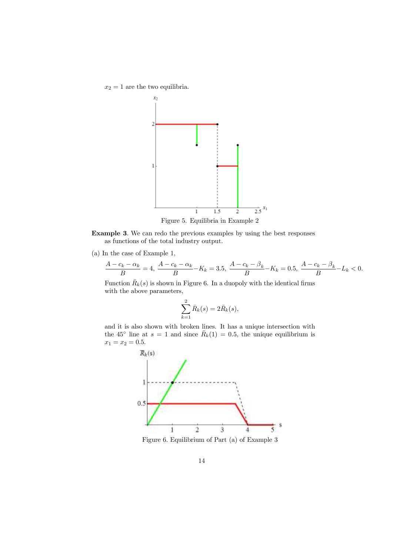$x_2 = 1$  are the two equilibria.



Example 3. We can redo the previous examples by using the best responses as functions of the total industry output.

(a) In the case of Example 1,

$$
\frac{A - c_k - \alpha_k}{B} = 4, \ \frac{A - c_k - \alpha_k}{B} - K_k = 3.5, \ \frac{A - c_k - \beta_k}{B} - K_k = 0.5, \ \frac{A - c_k - \beta_k}{B} - L_k < 0.
$$

Function  $\bar{R}_k(s)$  is shown in Figure 6. In a duopoly with the identical firms with the above parameters,

$$
\sum_{k=1}^{2} \bar{R}_k(s) = 2\bar{R}_k(s),
$$

and it is also shown with broken lines. It has a unique intersection with the 45<sup>°</sup> line at  $s = 1$  and since  $\bar{R}_k(1) = 0.5$ , the unique equilibrium is  $x_1 = x_2 = 0.5.$ 

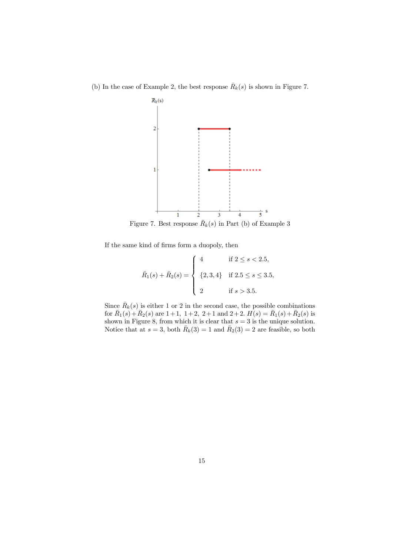(b) In the case of Example 2, the best response  $\bar{R}_k(s)$  is shown in Figure 7.



Figure 7. Best response  $\bar{R}_k(s)$  in Part (b) of Example 3

If the same kind of firms form a duopoly, then

$$
\bar{R}_1(s) + \bar{R}_2(s) = \begin{cases}\n4 & \text{if } 2 \le s < 2.5, \\
\{2, 3, 4\} & \text{if } 2.5 \le s \le 3.5, \\
2 & \text{if } s > 3.5.\n\end{cases}
$$

Since  $\bar{R}_k(s)$  is either 1 or 2 in the second case, the possible combinations for  $\bar{R}_1(s) + \bar{R}_2(s)$  are  $1+1$ ,  $1+2$ ,  $2+1$  and  $2+2$ .  $H(s) = \bar{R}_1(s) + \bar{R}_2(s)$  is shown in Figure 8, from which it is clear that  $s = 3$  is the unique solution. Notice that at  $s = 3$ , both  $\overline{R}_k(3) = 1$  and  $\overline{R}_2(3) = 2$  are feasible, so both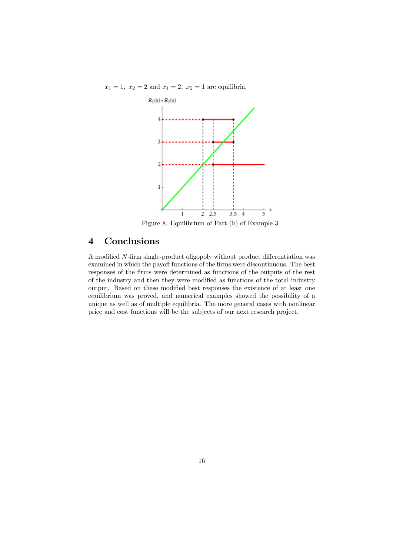$x_1 = 1, x_2 = 2$  and  $x_1 = 2, x_2 = 1$  are equilibria.



Figure 8. Equilibrium of Part (b) of Example 3

# 4 Conclusions

A modified N-firm single-product oligopoly without product differentiation was examined in which the payoff functions of the firms were discontinuous. The best responses of the firms were determined as functions of the outputs of the rest of the industry and then they were modified as functions of the total industry output. Based on these modified best responses the existence of at least one equilibrium was proved, and numerical examples showed the possibility of a unique as well as of multiple equilibria. The more general cases with nonlinear price and cost functions will be the subjects of our next research project.